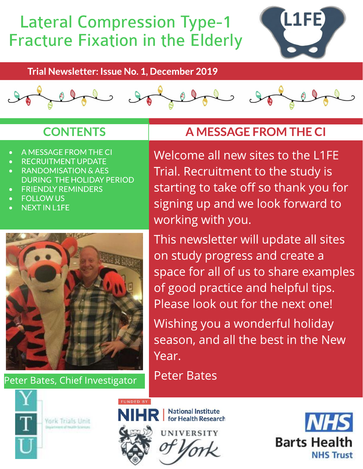# Lateral Compression Type-1 Fracture Fixation in the Elderly



Trial Newsletter: Issue No. 1, December 2019



#### **CONTENTS**

- A MESSAGE FROM THE CI
- RECRUITMENT UPDATE
- RANDOMISATION & AES DURING THE HOLIDAY PERIOD
- **FRIENDLY REMINDERS**
- **FOLLOW US**
- NEXT IN L1FE



Peter Bates, Chief Investigator



York Trials Unit

## A MESSAGEFROM THECI

Welcome all new sites to the L1FE Trial. Recruitment to the study is starting to take off so thank you for signing up and we look forward to working with you.

This newsletter will update all sites on study progress and create a space for all of us to share examples of good practice and helpful tips. Please look out for the next one!

Wishing you a wonderful holiday season, and all the best in the New Year.

Peter Bates



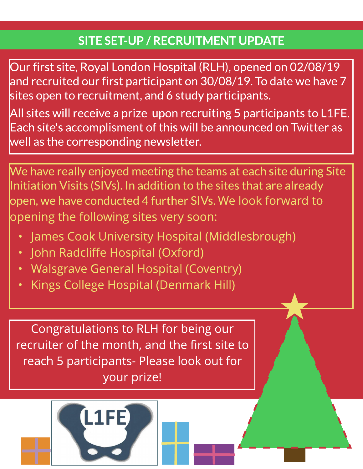### SITE SET-UP / RECRUITMENT UPDATE

Our first site, Royal London Hospital (RLH), opened on 02/08/19 and recruited our first participant on 30/08/19.To date we have 7 sites open to recruitment, and 6 study participants.

All sites will receive a prize upon recruiting 5 participants to L1FE. Each site's accomplisment of this will be announced on Twitter as well as the corresponding newsletter.

We have really enjoyed meeting the teams at each site during Site Initiation Visits (SIVs). In addition to the sites that are already open,we have conducted 4 further SIVs.We look forward to opening the following sites very soon:

- James Cook University Hospital (Middlesbrough)
- John Radcliffe Hospital (Oxford)
- Walsgrave General Hospital (Coventry)
- Kings College Hospital (Denmark Hill)

Congratulations to RLH for being our recruiter of the month, and the first site to reach 5 participants- Please look out for your prize!

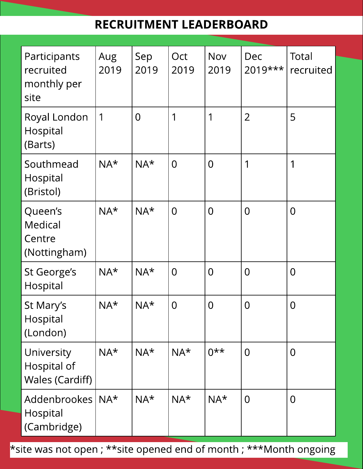#### RECRUITMENT LEADERBOARD

| Participants<br>recruited<br>monthly per<br>site    | Aug<br>2019  | Sep<br>2019    | Oct<br>2019    | <b>Nov</b><br>2019 | Dec<br>2019*** | Total<br>recruited |
|-----------------------------------------------------|--------------|----------------|----------------|--------------------|----------------|--------------------|
| Royal London<br>Hospital<br>(Barts)                 | $\mathbf 1$  | $\overline{0}$ | 1              | 1                  | $\overline{2}$ | 5                  |
| Southmead<br>Hospital<br>(Bristol)                  | $NA*$        | $NA*$          | $\overline{0}$ | $\overline{0}$     | 1              | 1                  |
| Queen's<br>Medical<br>Centre<br>(Nottingham)        | $NA^{\star}$ | $NA*$          | $\overline{0}$ | $\overline{0}$     | $\overline{0}$ | $\overline{0}$     |
| St George's<br>Hospital                             | $NA*$        | $NA*$          | $\overline{0}$ | $\overline{0}$     | $\overline{0}$ | $\overline{0}$     |
| St Mary's<br>Hospital<br>(London)                   | $NA^*$       | $NA*$          | $\overline{0}$ | $\overline{0}$     | $\overline{0}$ | $\overline{0}$     |
| University<br>Hospital of<br><b>Wales (Cardiff)</b> | $NA^{\star}$ | $NA*$          | $NA^{\star}$   | $0***$             | $\overline{0}$ | $\overline{0}$     |
| <b>Addenbrookes</b><br>Hospital<br>(Cambridge)      | $NA^{\star}$ | $NA^{\star}$   | $NA*$          | $NA^{\star}$       | $\overline{0}$ | $\overline{0}$     |

\* site was not open ; \*\* site opened end of month ; \*\*\* Month ongoing